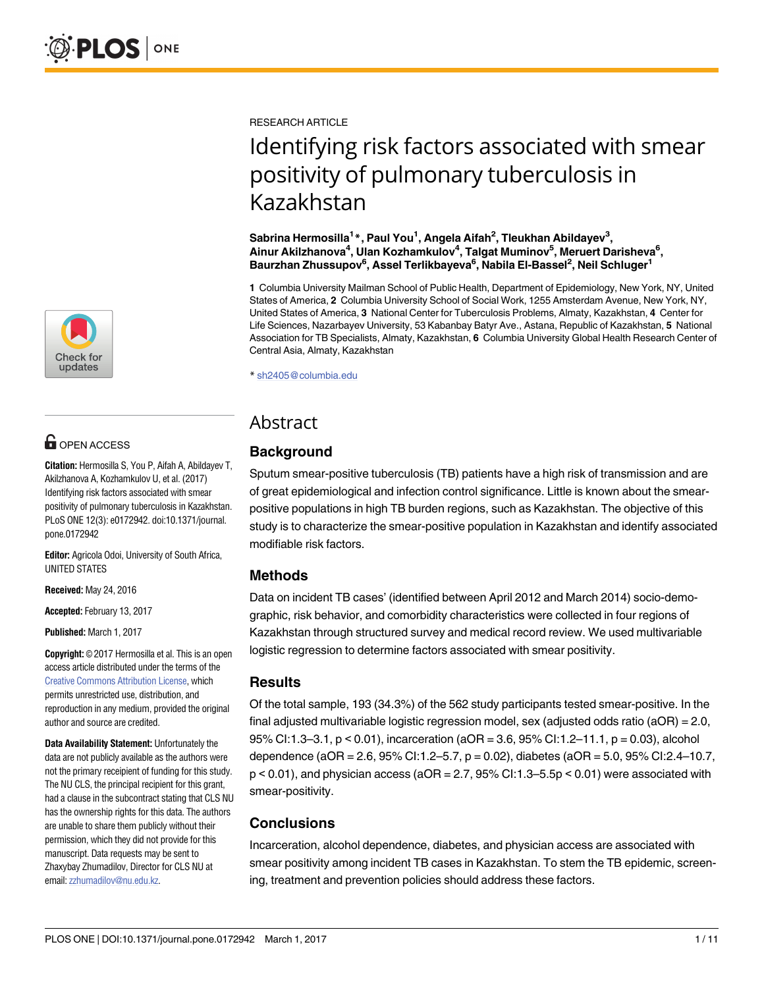

## **OPEN ACCESS**

**Citation:** Hermosilla S, You P, Aifah A, Abildayev T, Akilzhanova A, Kozhamkulov U, et al. (2017) Identifying risk factors associated with smear positivity of pulmonary tuberculosis in Kazakhstan. PLoS ONE 12(3): e0172942. doi:10.1371/journal. pone.0172942

**Editor:** Agricola Odoi, University of South Africa, UNITED STATES

**Received:** May 24, 2016

**Accepted:** February 13, 2017

**Published:** March 1, 2017

**Copyright:** © 2017 Hermosilla et al. This is an open access article distributed under the terms of the Creative Commons [Attribution](http://creativecommons.org/licenses/by/4.0/) License, which permits unrestricted use, distribution, and reproduction in any medium, provided the original author and source are credited.

**Data Availability Statement:** Unfortunately the data are not publicly available as the authors were not the primary receipient of funding for this study. The NU CLS, the principal recipient for this grant, had a clause in the subcontract stating that CLS NU has the ownership rights for this data. The authors are unable to share them publicly without their permission, which they did not provide for this manuscript. Data requests may be sent to Zhaxybay Zhumadilov, Director for CLS NU at email:[zzhumadilov@nu.edu.kz.](mailto:zzhumadilov@nu.edu.kz)

RESEARCH ARTICLE

# Identifying risk factors associated with smear positivity of pulmonary tuberculosis in Kazakhstan

**Sabrina Hermosilla1 \*, Paul You1 , Angela Aifah2 , Tleukhan Abildayev3 , Ainur Akilzhanova4 , Ulan Kozhamkulov4 , Talgat Muminov5 , Meruert Darisheva6 ,**  $\mathsf{Baurzhan\ Zhussupov^6}, \mathsf{Assel\ Terlikbayeva^6}, \mathsf{Nabila\ El\-Bassel^2}, \mathsf{Neil\ Schluger^1}$ 

**1** Columbia University Mailman School of Public Health, Department of Epidemiology, New York, NY, United States of America, **2** Columbia University School of Social Work, 1255 Amsterdam Avenue, New York, NY, United States of America, **3** National Center for Tuberculosis Problems, Almaty, Kazakhstan, **4** Center for Life Sciences, Nazarbayev University, 53 Kabanbay Batyr Ave., Astana, Republic of Kazakhstan, **5** National Association for TB Specialists, Almaty, Kazakhstan, **6** Columbia University Global Health Research Center of Central Asia, Almaty, Kazakhstan

\* sh2405@columbia.edu

## Abstract

## **Background**

Sputum smear-positive tuberculosis (TB) patients have a high risk of transmission and are of great epidemiological and infection control significance. Little is known about the smearpositive populations in high TB burden regions, such as Kazakhstan. The objective of this study is to characterize the smear-positive population in Kazakhstan and identify associated modifiable risk factors.

### **Methods**

Data on incident TB cases' (identified between April 2012 and March 2014) socio-demographic, risk behavior, and comorbidity characteristics were collected in four regions of Kazakhstan through structured survey and medical record review. We used multivariable logistic regression to determine factors associated with smear positivity.

### **Results**

Of the total sample, 193 (34.3%) of the 562 study participants tested smear-positive. In the final adjusted multivariable logistic regression model, sex (adjusted odds ratio (aOR) = 2.0, 95% CI:1.3–3.1, p < 0.01), incarceration (aOR = 3.6, 95% CI:1.2–11.1, p = 0.03), alcohol dependence (aOR = 2.6, 95% CI:1.2–5.7, p = 0.02), diabetes (aOR = 5.0, 95% CI:2.4–10.7,  $p < 0.01$ ), and physician access (aOR = 2.7, 95% CI:1.3-5.5p < 0.01) were associated with smear-positivity.

## **Conclusions**

Incarceration, alcohol dependence, diabetes, and physician access are associated with smear positivity among incident TB cases in Kazakhstan. To stem the TB epidemic, screening, treatment and prevention policies should address these factors.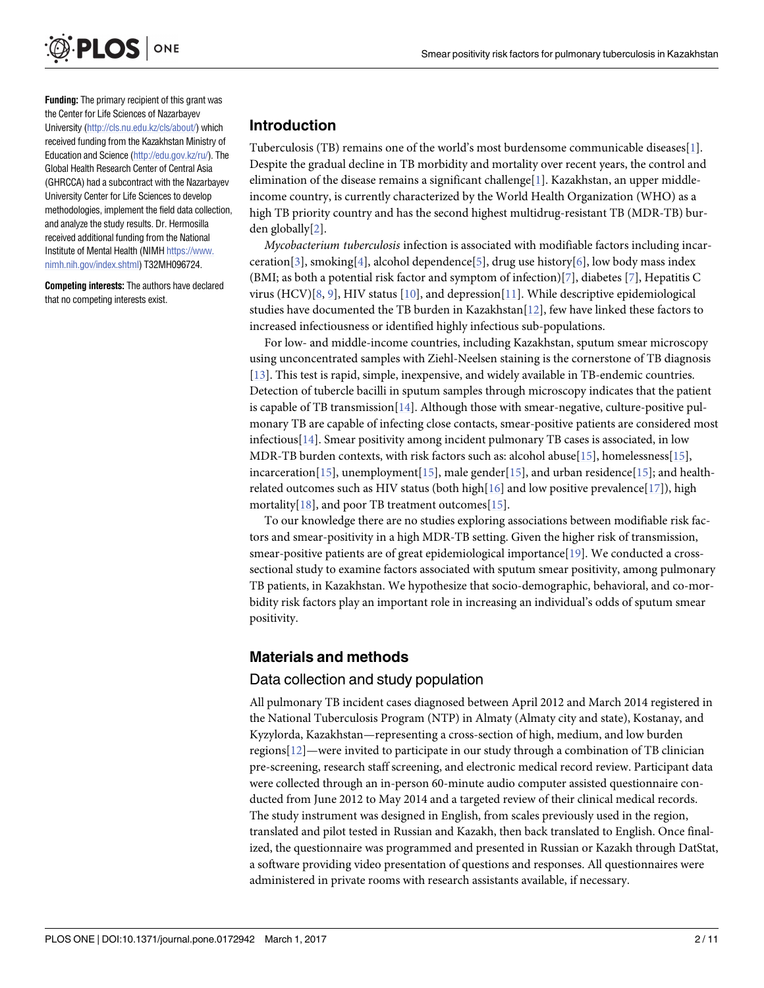<span id="page-1-0"></span>

**Funding:** The primary recipient of this grant was the Center for Life Sciences of Nazarbayev University [\(http://cls.nu.edu.kz/cls/about/\)](http://cls.nu.edu.kz/cls/about/) which received funding from the Kazakhstan Ministry of Education and Science [\(http://edu.gov.kz/ru/\)](http://edu.gov.kz/ru/). The Global Health Research Center of Central Asia (GHRCCA) had a subcontract with the Nazarbayev University Center for Life Sciences to develop methodologies, implement the field data collection, and analyze the study results. Dr. Hermosilla received additional funding from the National Institute of Mental Health (NIMH [https://www.](https://www.nimh.nih.gov/index.shtml) [nimh.nih.gov/index.shtml](https://www.nimh.nih.gov/index.shtml)) T32MH096724.

**Competing interests:** The authors have declared that no competing interests exist.

#### **Introduction**

Tuberculosis (TB) remains one of the world's most burdensome communicable diseases[\[1\]](#page-8-0). Despite the gradual decline in TB morbidity and mortality over recent years, the control and elimination of the disease remains a significant challenge[\[1\]](#page-8-0). Kazakhstan, an upper middleincome country, is currently characterized by the World Health Organization (WHO) as a high TB priority country and has the second highest multidrug-resistant TB (MDR-TB) burden globally[[2](#page-8-0)].

*Mycobacterium tuberculosis* infection is associated with modifiable factors including incarceration[\[3\]](#page-9-0), smoking[[4\]](#page-9-0), alcohol dependence[[5\]](#page-9-0), drug use history[\[6\]](#page-9-0), low body mass index (BMI; as both a potential risk factor and symptom of infection)[\[7](#page-9-0)], diabetes [\[7\]](#page-9-0), Hepatitis C virus (HCV)[\[8](#page-9-0), [9](#page-9-0)], HIV status [[10](#page-9-0)], and depression[\[11\]](#page-9-0). While descriptive epidemiological studies have documented the TB burden in Kazakhstan $[12]$  $[12]$  $[12]$ , few have linked these factors to increased infectiousness or identified highly infectious sub-populations.

For low- and middle-income countries, including Kazakhstan, sputum smear microscopy using unconcentrated samples with Ziehl-Neelsen staining is the cornerstone of TB diagnosis [\[13\]](#page-9-0). This test is rapid, simple, inexpensive, and widely available in TB-endemic countries. Detection of tubercle bacilli in sputum samples through microscopy indicates that the patient is capable of TB transmission [[14](#page-9-0)]. Although those with smear-negative, culture-positive pulmonary TB are capable of infecting close contacts, smear-positive patients are considered most infectious[[14\]](#page-9-0). Smear positivity among incident pulmonary TB cases is associated, in low MDR-TB burden contexts, with risk factors such as: alcohol abuse[\[15\]](#page-9-0), homelessness[[15](#page-9-0)], incarceration[[15\]](#page-9-0), unemployment[[15](#page-9-0)], male gender[\[15\]](#page-9-0), and urban residence[\[15\]](#page-9-0); and healthrelated outcomes such as HIV status (both high $[16]$  $[16]$  $[16]$  and low positive prevalence $[17]$  $[17]$  $[17]$ ), high mortality[\[18\]](#page-9-0), and poor TB treatment outcomes[[15](#page-9-0)].

To our knowledge there are no studies exploring associations between modifiable risk factors and smear-positivity in a high MDR-TB setting. Given the higher risk of transmission, smear-positive patients are of great epidemiological importance[\[19\]](#page-9-0). We conducted a crosssectional study to examine factors associated with sputum smear positivity, among pulmonary TB patients, in Kazakhstan. We hypothesize that socio-demographic, behavioral, and co-morbidity risk factors play an important role in increasing an individual's odds of sputum smear positivity.

#### **Materials and methods**

#### Data collection and study population

All pulmonary TB incident cases diagnosed between April 2012 and March 2014 registered in the National Tuberculosis Program (NTP) in Almaty (Almaty city and state), Kostanay, and Kyzylorda, Kazakhstan—representing a cross-section of high, medium, and low burden regions[[12](#page-9-0)]—were invited to participate in our study through a combination of TB clinician pre-screening, research staff screening, and electronic medical record review. Participant data were collected through an in-person 60-minute audio computer assisted questionnaire conducted from June 2012 to May 2014 and a targeted review of their clinical medical records. The study instrument was designed in English, from scales previously used in the region, translated and pilot tested in Russian and Kazakh, then back translated to English. Once finalized, the questionnaire was programmed and presented in Russian or Kazakh through DatStat, a software providing video presentation of questions and responses. All questionnaires were administered in private rooms with research assistants available, if necessary.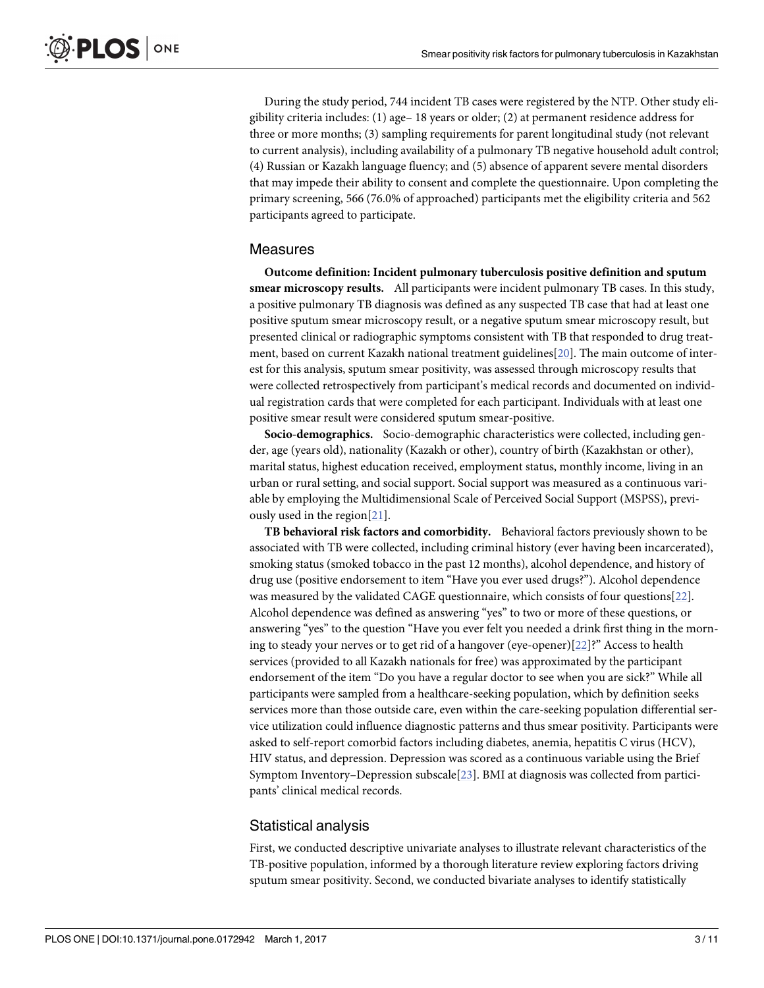<span id="page-2-0"></span>During the study period, 744 incident TB cases were registered by the NTP. Other study eligibility criteria includes: (1) age– 18 years or older; (2) at permanent residence address for three or more months; (3) sampling requirements for parent longitudinal study (not relevant to current analysis), including availability of a pulmonary TB negative household adult control; (4) Russian or Kazakh language fluency; and (5) absence of apparent severe mental disorders that may impede their ability to consent and complete the questionnaire. Upon completing the primary screening, 566 (76.0% of approached) participants met the eligibility criteria and 562 participants agreed to participate.

#### **Measures**

**Outcome definition: Incident pulmonary tuberculosis positive definition and sputum smear microscopy results.** All participants were incident pulmonary TB cases. In this study, a positive pulmonary TB diagnosis was defined as any suspected TB case that had at least one positive sputum smear microscopy result, or a negative sputum smear microscopy result, but presented clinical or radiographic symptoms consistent with TB that responded to drug treatment, based on current Kazakh national treatment guidelines[\[20\]](#page-9-0). The main outcome of interest for this analysis, sputum smear positivity, was assessed through microscopy results that were collected retrospectively from participant's medical records and documented on individual registration cards that were completed for each participant. Individuals with at least one positive smear result were considered sputum smear-positive.

**Socio-demographics.** Socio-demographic characteristics were collected, including gender, age (years old), nationality (Kazakh or other), country of birth (Kazakhstan or other), marital status, highest education received, employment status, monthly income, living in an urban or rural setting, and social support. Social support was measured as a continuous variable by employing the Multidimensional Scale of Perceived Social Support (MSPSS), previously used in the region[\[21\]](#page-9-0).

**TB behavioral risk factors and comorbidity.** Behavioral factors previously shown to be associated with TB were collected, including criminal history (ever having been incarcerated), smoking status (smoked tobacco in the past 12 months), alcohol dependence, and history of drug use (positive endorsement to item "Have you ever used drugs?"). Alcohol dependence was measured by the validated CAGE questionnaire, which consists of four questions[\[22\]](#page-9-0). Alcohol dependence was defined as answering "yes" to two or more of these questions, or answering "yes" to the question "Have you ever felt you needed a drink first thing in the morning to steady your nerves or to get rid of a hangover (eye-opener)[\[22\]](#page-9-0)?" Access to health services (provided to all Kazakh nationals for free) was approximated by the participant endorsement of the item "Do you have a regular doctor to see when you are sick?" While all participants were sampled from a healthcare-seeking population, which by definition seeks services more than those outside care, even within the care-seeking population differential service utilization could influence diagnostic patterns and thus smear positivity. Participants were asked to self-report comorbid factors including diabetes, anemia, hepatitis C virus (HCV), HIV status, and depression. Depression was scored as a continuous variable using the Brief Symptom Inventory–Depression subscale[\[23\]](#page-9-0). BMI at diagnosis was collected from participants' clinical medical records.

### Statistical analysis

First, we conducted descriptive univariate analyses to illustrate relevant characteristics of the TB-positive population, informed by a thorough literature review exploring factors driving sputum smear positivity. Second, we conducted bivariate analyses to identify statistically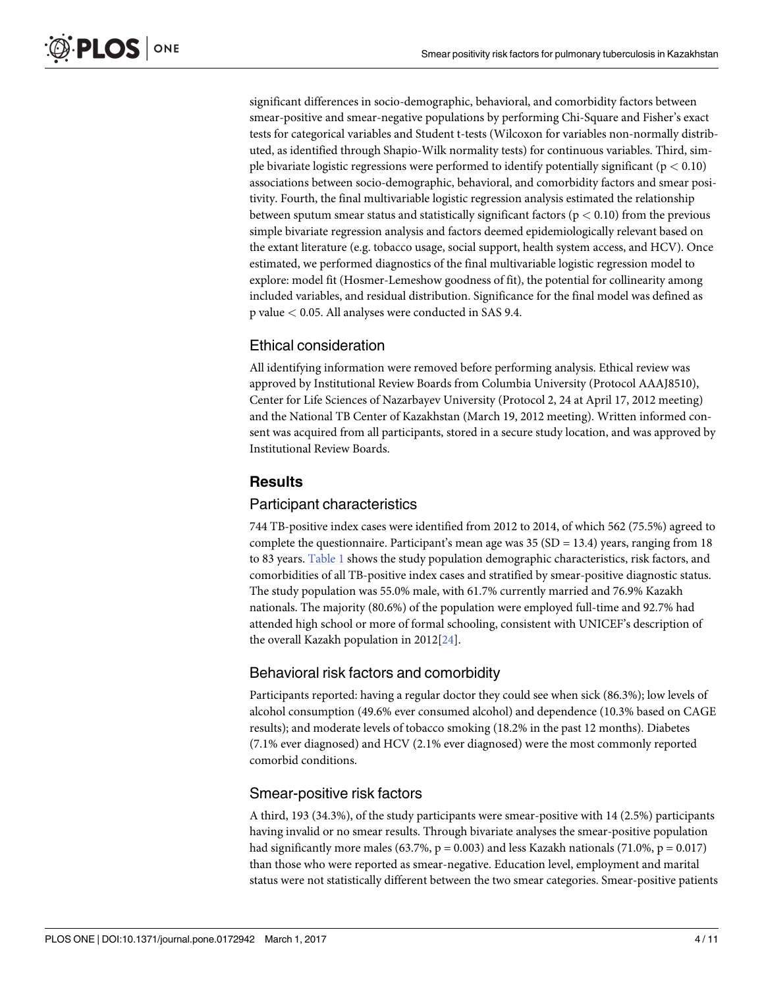<span id="page-3-0"></span>significant differences in socio-demographic, behavioral, and comorbidity factors between smear-positive and smear-negative populations by performing Chi-Square and Fisher's exact tests for categorical variables and Student t-tests (Wilcoxon for variables non-normally distributed, as identified through Shapio-Wilk normality tests) for continuous variables. Third, simple bivariate logistic regressions were performed to identify potentially significant (p *<* 0.10) associations between socio-demographic, behavioral, and comorbidity factors and smear positivity. Fourth, the final multivariable logistic regression analysis estimated the relationship between sputum smear status and statistically significant factors (p *<* 0.10) from the previous simple bivariate regression analysis and factors deemed epidemiologically relevant based on the extant literature (e.g. tobacco usage, social support, health system access, and HCV). Once estimated, we performed diagnostics of the final multivariable logistic regression model to explore: model fit (Hosmer-Lemeshow goodness of fit), the potential for collinearity among included variables, and residual distribution. Significance for the final model was defined as p value *<* 0.05. All analyses were conducted in SAS 9.4.

### Ethical consideration

All identifying information were removed before performing analysis. Ethical review was approved by Institutional Review Boards from Columbia University (Protocol AAAJ8510), Center for Life Sciences of Nazarbayev University (Protocol 2, 24 at April 17, 2012 meeting) and the National TB Center of Kazakhstan (March 19, 2012 meeting). Written informed consent was acquired from all participants, stored in a secure study location, and was approved by Institutional Review Boards.

#### **Results**

#### Participant characteristics

744 TB-positive index cases were identified from 2012 to 2014, of which 562 (75.5%) agreed to complete the questionnaire. Participant's mean age was  $35 (SD = 13.4)$  years, ranging from 18 to 83 years. [Table](#page-4-0) 1 shows the study population demographic characteristics, risk factors, and comorbidities of all TB-positive index cases and stratified by smear-positive diagnostic status. The study population was 55.0% male, with 61.7% currently married and 76.9% Kazakh nationals. The majority (80.6%) of the population were employed full-time and 92.7% had attended high school or more of formal schooling, consistent with UNICEF's description of the overall Kazakh population in 2012[\[24\]](#page-9-0).

### Behavioral risk factors and comorbidity

Participants reported: having a regular doctor they could see when sick (86.3%); low levels of alcohol consumption (49.6% ever consumed alcohol) and dependence (10.3% based on CAGE results); and moderate levels of tobacco smoking (18.2% in the past 12 months). Diabetes (7.1% ever diagnosed) and HCV (2.1% ever diagnosed) were the most commonly reported comorbid conditions.

#### Smear-positive risk factors

A third, 193 (34.3%), of the study participants were smear-positive with 14 (2.5%) participants having invalid or no smear results. Through bivariate analyses the smear-positive population had significantly more males (63.7%,  $p = 0.003$ ) and less Kazakh nationals (71.0%,  $p = 0.017$ ) than those who were reported as smear-negative. Education level, employment and marital status were not statistically different between the two smear categories. Smear-positive patients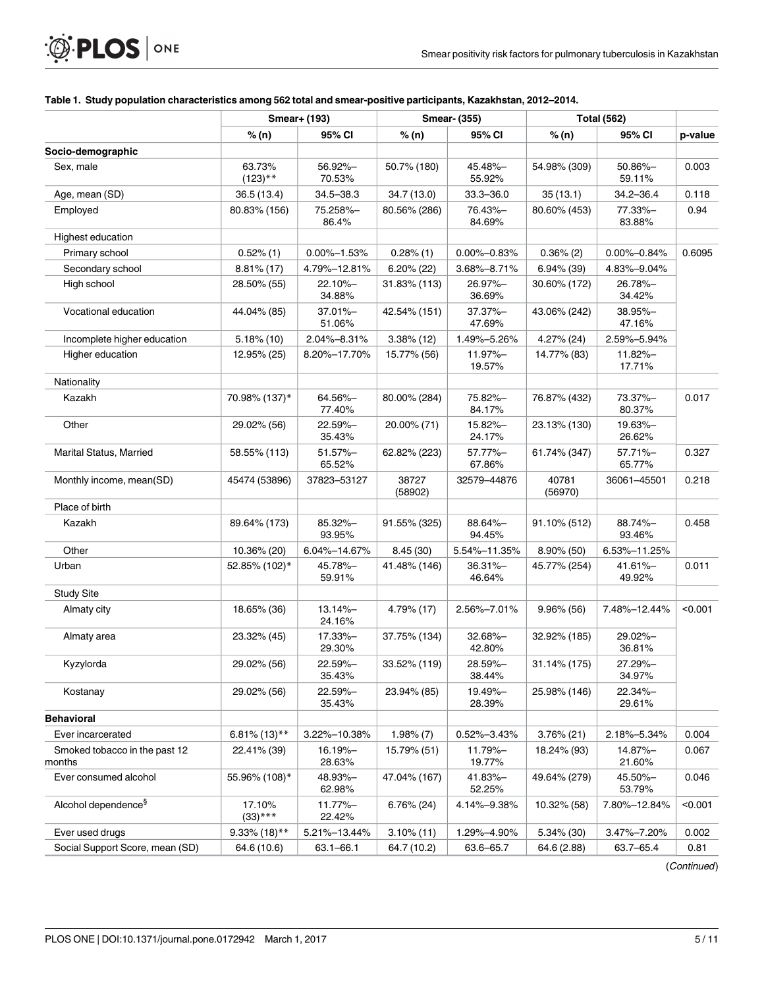<span id="page-4-0"></span>

| <b>O. PLOS</b> ONE |  |
|--------------------|--|
|--------------------|--|

| Table 1.  Study population characteristics among 562 total and smear-positive participants, Kazakhstan, 2012–2014. |  |  |
|--------------------------------------------------------------------------------------------------------------------|--|--|
|                                                                                                                    |  |  |

|                                         |                      | Smear+ (193)         | <b>Smear- (355)</b> |                      | <b>Total (562)</b> |                      |         |
|-----------------------------------------|----------------------|----------------------|---------------------|----------------------|--------------------|----------------------|---------|
|                                         | % (n)                | 95% CI               | % (n)               | 95% CI               | % (n)              | 95% CI               | p-value |
| Socio-demographic                       |                      |                      |                     |                      |                    |                      |         |
| Sex, male                               | 63.73%<br>$(123)$ ** | 56.92%-<br>70.53%    | 50.7% (180)         | 45.48%-<br>55.92%    | 54.98% (309)       | 50.86%-<br>59.11%    | 0.003   |
| Age, mean (SD)                          | 36.5(13.4)           | $34.5 - 38.3$        | 34.7 (13.0)         | $33.3 - 36.0$        | 35(13.1)           | $34.2 - 36.4$        | 0.118   |
| Employed                                | 80.83% (156)         | 75.258%-<br>86.4%    | 80.56% (286)        | 76.43%-<br>84.69%    | 80.60% (453)       | 77.33%-<br>83.88%    | 0.94    |
| Highest education                       |                      |                      |                     |                      |                    |                      |         |
| Primary school                          | $0.52\%$ (1)         | $0.00\% - 1.53\%$    | $0.28\%$ (1)        | $0.00\% - 0.83\%$    | $0.36\%$ (2)       | $0.00\% - 0.84\%$    | 0.6095  |
| Secondary school                        | $8.81\%$ (17)        | 4.79%-12.81%         | $6.20\%$ (22)       | 3.68%-8.71%          | $6.94\%$ (39)      | 4.83%-9.04%          |         |
| High school                             | 28.50% (55)          | 22.10%-<br>34.88%    | 31.83% (113)        | 26.97%-<br>36.69%    | 30.60% (172)       | 26.78%-<br>34.42%    |         |
| Vocational education                    | 44.04% (85)          | 37.01%-<br>51.06%    | 42.54% (151)        | 37.37%-<br>47.69%    | 43.06% (242)       | 38.95%-<br>47.16%    |         |
| Incomplete higher education             | 5.18%(10)            | 2.04%-8.31%          | $3.38\%$ (12)       | 1.49%-5.26%          | 4.27% (24)         | 2.59%-5.94%          |         |
| Higher education                        | 12.95% (25)          | 8.20%-17.70%         | 15.77% (56)         | 11.97%-<br>19.57%    | 14.77% (83)        | 11.82%-<br>17.71%    |         |
| Nationality                             |                      |                      |                     |                      |                    |                      |         |
| Kazakh                                  | 70.98% (137)*        | 64.56%-<br>77.40%    | 80.00% (284)        | 75.82%-<br>84.17%    | 76.87% (432)       | 73.37%-<br>80.37%    | 0.017   |
| Other                                   | 29.02% (56)          | 22.59%-<br>35.43%    | 20.00% (71)         | 15.82%-<br>24.17%    | 23.13% (130)       | 19.63%-<br>26.62%    |         |
| <b>Marital Status, Married</b>          | 58.55% (113)         | 51.57%-<br>65.52%    | 62.82% (223)        | 57.77%-<br>67.86%    | 61.74% (347)       | 57.71%-<br>65.77%    | 0.327   |
| Monthly income, mean(SD)                | 45474 (53896)        | 37823-53127          | 38727<br>(58902)    | 32579-44876          | 40781<br>(56970)   | 36061-45501          | 0.218   |
| Place of birth                          |                      |                      |                     |                      |                    |                      |         |
| Kazakh                                  | 89.64% (173)         | 85.32%-<br>93.95%    | 91.55% (325)        | 88.64%-<br>94.45%    | 91.10% (512)       | 88.74%-<br>93.46%    | 0.458   |
| Other                                   | 10.36% (20)          | 6.04%-14.67%         | 8.45(30)            | 5.54%-11.35%         | $8.90\%$ (50)      | 6.53%-11.25%         |         |
| Urban                                   | 52.85% (102)*        | 45.78%-<br>59.91%    | 41.48% (146)        | $36.31% -$<br>46.64% | 45.77% (254)       | $41.61% -$<br>49.92% | 0.011   |
| <b>Study Site</b>                       |                      |                      |                     |                      |                    |                      |         |
| Almaty city                             | 18.65% (36)          | $13.14% -$<br>24.16% | 4.79% (17)          | 2.56%-7.01%          | $9.96\%$ (56)      | 7.48%-12.44%         | < 0.001 |
| Almaty area                             | 23.32% (45)          | 17.33%-<br>29.30%    | 37.75% (134)        | 32.68%-<br>42.80%    | 32.92% (185)       | 29.02%-<br>36.81%    |         |
| Kyzylorda                               | 29.02% (56)          | 22.59%-<br>35.43%    | 33.52% (119)        | 28.59%-<br>38.44%    | 31.14% (175)       | 27.29%-<br>34.97%    |         |
| Kostanay                                | 29.02% (56)          | 22.59%-<br>35.43%    | 23.94% (85)         | 19.49%-<br>28.39%    | 25.98% (146)       | 22.34%-<br>29.61%    |         |
| <b>Behavioral</b>                       |                      |                      |                     |                      |                    |                      |         |
| Ever incarcerated                       | $6.81\%$ (13)**      | 3.22%-10.38%         | $1.98\%$ (7)        | 0.52%-3.43%          | $3.76\% (21)$      | 2.18%-5.34%          | 0.004   |
| Smoked tobacco in the past 12<br>months | 22.41% (39)          | 16.19%-<br>28.63%    | 15.79% (51)         | 11.79%-<br>19.77%    | 18.24% (93)        | 14.87%-<br>21.60%    | 0.067   |
| Ever consumed alcohol                   | 55.96% (108)*        | 48.93%-<br>62.98%    | 47.04% (167)        | 41.83%-<br>52.25%    | 49.64% (279)       | 45.50%-<br>53.79%    | 0.046   |
| Alcohol dependence <sup>§</sup>         | 17.10%<br>$(33)$ *** | 11.77%-<br>22.42%    | $6.76\%$ (24)       | 4.14%-9.38%          | 10.32% (58)        | 7.80%-12.84%         | < 0.001 |
| Ever used drugs                         | $9.33\%$ (18)**      | 5.21%-13.44%         | $3.10\%$ (11)       | 1.29%-4.90%          | $5.34\%$ (30)      | 3.47%-7.20%          | 0.002   |
| Social Support Score, mean (SD)         | 64.6 (10.6)          | 63.1-66.1            | 64.7 (10.2)         | 63.6-65.7            | 64.6 (2.88)        | 63.7-65.4            | 0.81    |

(Continued)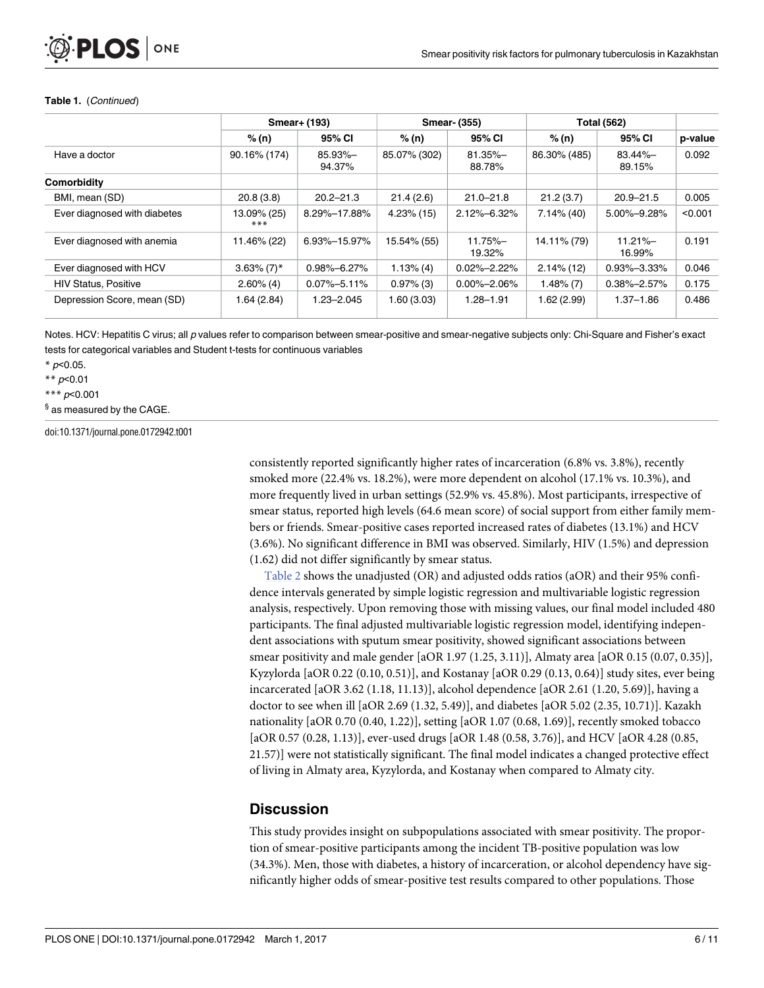#### <span id="page-5-0"></span>**Table 1.** (Continued)

|                              | Smear+ (193)              |                   | <b>Smear- (355)</b> |                       | <b>Total (562)</b> |                       |         |
|------------------------------|---------------------------|-------------------|---------------------|-----------------------|--------------------|-----------------------|---------|
|                              | % (n)                     | 95% CI            | % (n)               | 95% CI                | % (n)              | 95% CI                | p-value |
| Have a doctor                | 90.16% (174)              | 85.93%-<br>94.37% | 85.07% (302)        | $81.35\% -$<br>88.78% | 86.30% (485)       | $83.44\% -$<br>89.15% | 0.092   |
| Comorbidity                  |                           |                   |                     |                       |                    |                       |         |
| BMI, mean (SD)               | 20.8(3.8)                 | $20.2 - 21.3$     | 21.4(2.6)           | $21.0 - 21.8$         | 21.2(3.7)          | $20.9 - 21.5$         | 0.005   |
| Ever diagnosed with diabetes | 13.09% (25)<br>$***$      | 8.29%-17.88%      | $4.23\%$ (15)       | 2.12%-6.32%           | $7.14\%$ (40)      | 5.00%-9.28%           | < 0.001 |
| Ever diagnosed with anemia   | 11.46% (22)               | 6.93%-15.97%      | 15.54% (55)         | $11.75% -$<br>19.32%  | 14.11% (79)        | $11.21% -$<br>16.99%  | 0.191   |
| Ever diagnosed with HCV      | $3.63\%$ (7) <sup>*</sup> | $0.98\% - 6.27\%$ | $1.13\%$ (4)        | $0.02\% - 2.22\%$     | $2.14\%$ (12)      | $0.93\% - 3.33\%$     | 0.046   |
| <b>HIV Status, Positive</b>  | $2.60\%$ (4)              | $0.07\% - 5.11\%$ | $0.97\%$ (3)        | $0.00\% - 2.06\%$     | $1.48\%$ (7)       | $0.38\% - 2.57\%$     | 0.175   |
| Depression Score, mean (SD)  | 1.64(2.84)                | $1.23 - 2.045$    | 1.60(3.03)          | $1.28 - 1.91$         | 1.62(2.99)         | $1.37 - 1.86$         | 0.486   |

Notes. HCV: Hepatitis C virus; all p values refer to comparison between smear-positive and smear-negative subjects only: Chi-Square and Fisher's exact tests for categorical variables and Student t-tests for continuous variables

 $*$  p<0.05.

\*\* p<0.01

\*\*\* p<0.001

§ as measured by the CAGE.

doi:10.1371/journal.pone.0172942.t001

consistently reported significantly higher rates of incarceration (6.8% vs. 3.8%), recently smoked more (22.4% vs. 18.2%), were more dependent on alcohol (17.1% vs. 10.3%), and more frequently lived in urban settings (52.9% vs. 45.8%). Most participants, irrespective of smear status, reported high levels (64.6 mean score) of social support from either family members or friends. Smear-positive cases reported increased rates of diabetes (13.1%) and HCV (3.6%). No significant difference in BMI was observed. Similarly, HIV (1.5%) and depression (1.62) did not differ significantly by smear status.

[Table](#page-6-0) 2 shows the unadjusted (OR) and adjusted odds ratios (aOR) and their 95% confidence intervals generated by simple logistic regression and multivariable logistic regression analysis, respectively. Upon removing those with missing values, our final model included 480 participants. The final adjusted multivariable logistic regression model, identifying independent associations with sputum smear positivity, showed significant associations between smear positivity and male gender [aOR 1.97 (1.25, 3.11)], Almaty area [aOR 0.15 (0.07, 0.35)], Kyzylorda [aOR 0.22 (0.10, 0.51)], and Kostanay [aOR 0.29 (0.13, 0.64)] study sites, ever being incarcerated [aOR 3.62 (1.18, 11.13)], alcohol dependence [aOR 2.61 (1.20, 5.69)], having a doctor to see when ill [aOR 2.69 (1.32, 5.49)], and diabetes [aOR 5.02 (2.35, 10.71)]. Kazakh nationality [aOR 0.70 (0.40, 1.22)], setting [aOR 1.07 (0.68, 1.69)], recently smoked tobacco [aOR 0.57 (0.28, 1.13)], ever-used drugs [aOR 1.48 (0.58, 3.76)], and HCV [aOR 4.28 (0.85, 21.57)] were not statistically significant. The final model indicates a changed protective effect of living in Almaty area, Kyzylorda, and Kostanay when compared to Almaty city.

#### **Discussion**

This study provides insight on subpopulations associated with smear positivity. The proportion of smear-positive participants among the incident TB-positive population was low (34.3%). Men, those with diabetes, a history of incarceration, or alcohol dependency have significantly higher odds of smear-positive test results compared to other populations. Those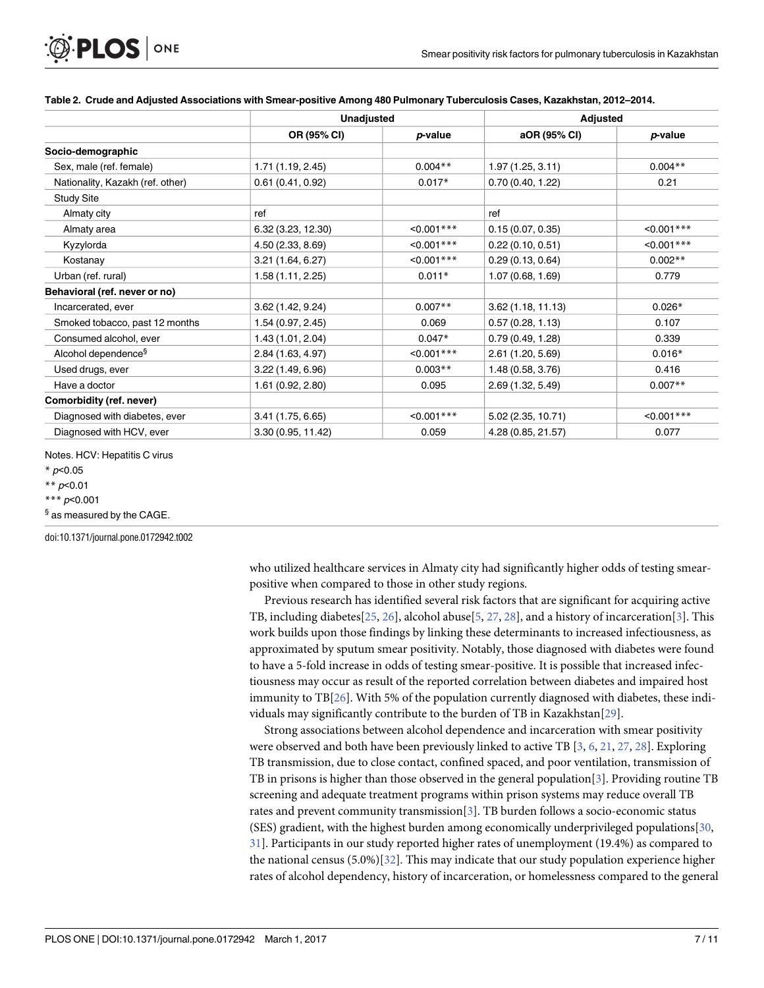|                                  | <b>Unadjusted</b> |               | <b>Adjusted</b>    |               |  |
|----------------------------------|-------------------|---------------|--------------------|---------------|--|
|                                  | OR (95% CI)       | p-value       | aOR (95% CI)       | p-value       |  |
| Socio-demographic                |                   |               |                    |               |  |
| Sex, male (ref. female)          | 1.71(1.19, 2.45)  | $0.004**$     | 1.97(1.25, 3.11)   | $0.004**$     |  |
| Nationality, Kazakh (ref. other) | 0.61(0.41, 0.92)  | $0.017*$      | 0.70(0.40, 1.22)   | 0.21          |  |
| <b>Study Site</b>                |                   |               |                    |               |  |
| Almaty city                      | ref               |               | ref                |               |  |
| Almaty area                      | 6.32(3.23, 12.30) | $0.001***$    | 0.15(0.07, 0.35)   | $< 0.001$ *** |  |
| Kyzylorda                        | 4.50 (2.33, 8.69) | $< 0.001$ *** | 0.22(0.10, 0.51)   | $< 0.001$ *** |  |
| Kostanay                         | 3.21(1.64, 6.27)  | $< 0.001$ *** | 0.29(0.13, 0.64)   | $0.002**$     |  |
| Urban (ref. rural)               | 1.58 (1.11, 2.25) | $0.011*$      | 1.07(0.68, 1.69)   | 0.779         |  |
| Behavioral (ref. never or no)    |                   |               |                    |               |  |
| Incarcerated, ever               | 3.62(1.42, 9.24)  | $0.007**$     | 3.62(1.18, 11.13)  | $0.026*$      |  |
| Smoked tobacco, past 12 months   | 1.54(0.97, 2.45)  | 0.069         | 0.57(0.28, 1.13)   | 0.107         |  |
| Consumed alcohol, ever           | 1.43(1.01, 2.04)  | $0.047*$      | 0.79(0.49, 1.28)   | 0.339         |  |
| Alcohol dependence <sup>§</sup>  | 2.84(1.63, 4.97)  | $< 0.001$ *** | 2.61 (1.20, 5.69)  | $0.016*$      |  |
| Used drugs, ever                 | 3.22(1.49, 6.96)  | $0.003**$     | 1.48 (0.58, 3.76)  | 0.416         |  |
| Have a doctor                    | 1.61 (0.92, 2.80) | 0.095         | 2.69 (1.32, 5.49)  | $0.007**$     |  |
| <b>Comorbidity (ref. never)</b>  |                   |               |                    |               |  |
| Diagnosed with diabetes, ever    | 3.41(1.75, 6.65)  | $< 0.001$ *** | 5.02 (2.35, 10.71) | $<0.001***$   |  |
| Diagnosed with HCV, ever         | 3.30(0.95, 11.42) | 0.059         | 4.28 (0.85, 21.57) | 0.077         |  |

#### [Table](#page-5-0) 2. Crude and Adjusted Associations with Smear-positive Among 480 Pulmonary Tuberculosis Cases, Kazakhstan, 2012-2014.

Notes. HCV: Hepatitis C virus

<span id="page-6-0"></span>PLOS ONE

 $*$  p<0.05

\*\*  $p<0.01$ 

#### \*\*\* p<0.001

§ as measured by the CAGE.

doi:10.1371/journal.pone.0172942.t002

who utilized healthcare services in Almaty city had significantly higher odds of testing smearpositive when compared to those in other study regions.

Previous research has identified several risk factors that are significant for acquiring active TB, including diabetes[[25](#page-10-0), [26](#page-10-0)], alcohol abuse[[5,](#page-9-0) [27,](#page-10-0) [28\]](#page-10-0), and a history of incarceration[\[3\]](#page-9-0). This work builds upon those findings by linking these determinants to increased infectiousness, as approximated by sputum smear positivity. Notably, those diagnosed with diabetes were found to have a 5-fold increase in odds of testing smear-positive. It is possible that increased infectiousness may occur as result of the reported correlation between diabetes and impaired host immunity to TB[[26](#page-10-0)]. With 5% of the population currently diagnosed with diabetes, these individuals may significantly contribute to the burden of TB in Kazakhstan[[29](#page-10-0)].

Strong associations between alcohol dependence and incarceration with smear positivity were observed and both have been previously linked to active TB [[3](#page-9-0), [6,](#page-9-0) [21,](#page-9-0) [27,](#page-10-0) [28\]](#page-10-0). Exploring TB transmission, due to close contact, confined spaced, and poor ventilation, transmission of TB in prisons is higher than those observed in the general population[[3](#page-9-0)]. Providing routine TB screening and adequate treatment programs within prison systems may reduce overall TB rates and prevent community transmission[[3](#page-9-0)]. TB burden follows a socio-economic status (SES) gradient, with the highest burden among economically underprivileged populations[[30,](#page-10-0) [31\]](#page-10-0). Participants in our study reported higher rates of unemployment (19.4%) as compared to the national census  $(5.0\%)$ [[32](#page-10-0)]. This may indicate that our study population experience higher rates of alcohol dependency, history of incarceration, or homelessness compared to the general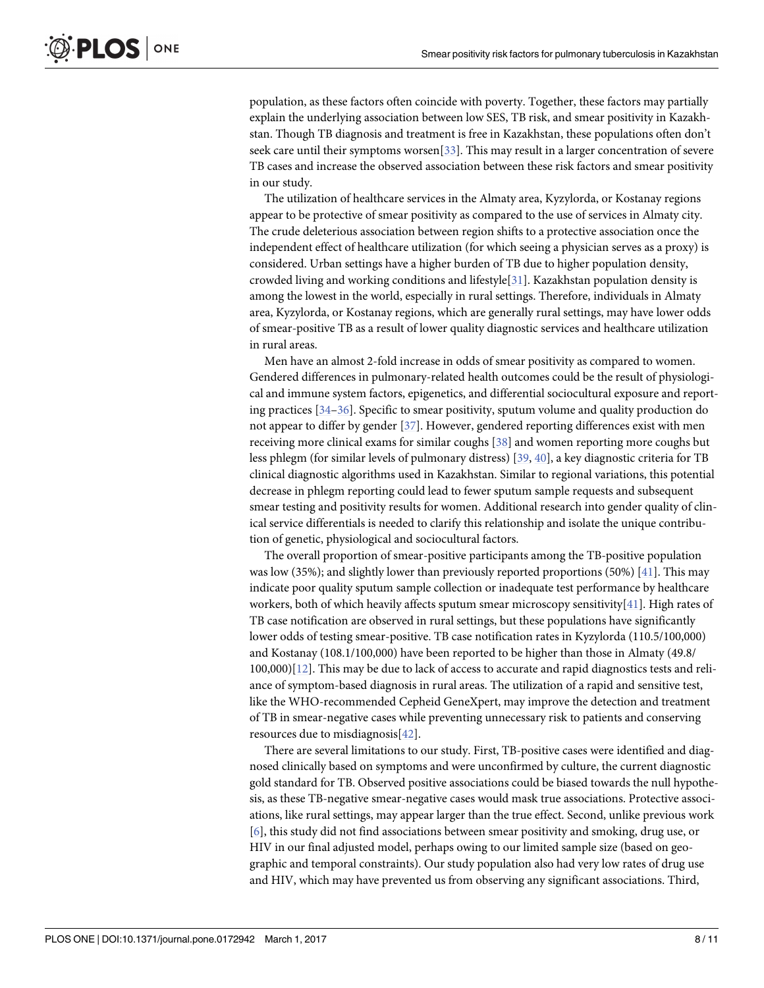<span id="page-7-0"></span>population, as these factors often coincide with poverty. Together, these factors may partially explain the underlying association between low SES, TB risk, and smear positivity in Kazakhstan. Though TB diagnosis and treatment is free in Kazakhstan, these populations often don't seek care until their symptoms worsen[\[33\]](#page-10-0). This may result in a larger concentration of severe TB cases and increase the observed association between these risk factors and smear positivity in our study.

The utilization of healthcare services in the Almaty area, Kyzylorda, or Kostanay regions appear to be protective of smear positivity as compared to the use of services in Almaty city. The crude deleterious association between region shifts to a protective association once the independent effect of healthcare utilization (for which seeing a physician serves as a proxy) is considered. Urban settings have a higher burden of TB due to higher population density, crowded living and working conditions and lifestyle[[31](#page-10-0)]. Kazakhstan population density is among the lowest in the world, especially in rural settings. Therefore, individuals in Almaty area, Kyzylorda, or Kostanay regions, which are generally rural settings, may have lower odds of smear-positive TB as a result of lower quality diagnostic services and healthcare utilization in rural areas.

Men have an almost 2-fold increase in odds of smear positivity as compared to women. Gendered differences in pulmonary-related health outcomes could be the result of physiological and immune system factors, epigenetics, and differential sociocultural exposure and reporting practices [[34–36\]](#page-10-0). Specific to smear positivity, sputum volume and quality production do not appear to differ by gender [\[37\]](#page-10-0). However, gendered reporting differences exist with men receiving more clinical exams for similar coughs [\[38\]](#page-10-0) and women reporting more coughs but less phlegm (for similar levels of pulmonary distress) [[39](#page-10-0), [40\]](#page-10-0), a key diagnostic criteria for TB clinical diagnostic algorithms used in Kazakhstan. Similar to regional variations, this potential decrease in phlegm reporting could lead to fewer sputum sample requests and subsequent smear testing and positivity results for women. Additional research into gender quality of clinical service differentials is needed to clarify this relationship and isolate the unique contribution of genetic, physiological and sociocultural factors.

The overall proportion of smear-positive participants among the TB-positive population was low (35%); and slightly lower than previously reported proportions (50%) [\[41\]](#page-10-0). This may indicate poor quality sputum sample collection or inadequate test performance by healthcare workers, both of which heavily affects sputum smear microscopy sensitivity[[41](#page-10-0)]. High rates of TB case notification are observed in rural settings, but these populations have significantly lower odds of testing smear-positive. TB case notification rates in Kyzylorda (110.5/100,000) and Kostanay (108.1/100,000) have been reported to be higher than those in Almaty (49.8/ 100,000)[[12](#page-9-0)]. This may be due to lack of access to accurate and rapid diagnostics tests and reliance of symptom-based diagnosis in rural areas. The utilization of a rapid and sensitive test, like the WHO-recommended Cepheid GeneXpert, may improve the detection and treatment of TB in smear-negative cases while preventing unnecessary risk to patients and conserving resources due to misdiagnosis[\[42\]](#page-10-0).

There are several limitations to our study. First, TB-positive cases were identified and diagnosed clinically based on symptoms and were unconfirmed by culture, the current diagnostic gold standard for TB. Observed positive associations could be biased towards the null hypothesis, as these TB-negative smear-negative cases would mask true associations. Protective associations, like rural settings, may appear larger than the true effect. Second, unlike previous work [\[6](#page-9-0)], this study did not find associations between smear positivity and smoking, drug use, or HIV in our final adjusted model, perhaps owing to our limited sample size (based on geographic and temporal constraints). Our study population also had very low rates of drug use and HIV, which may have prevented us from observing any significant associations. Third,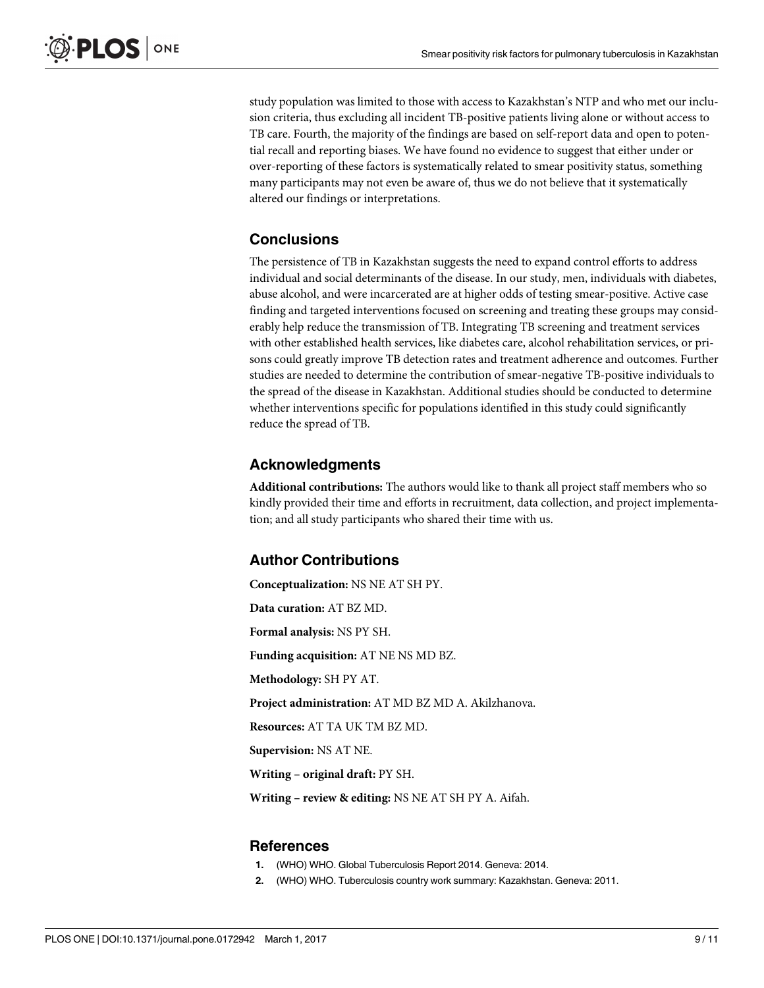<span id="page-8-0"></span>study population was limited to those with access to Kazakhstan's NTP and who met our inclusion criteria, thus excluding all incident TB-positive patients living alone or without access to TB care. Fourth, the majority of the findings are based on self-report data and open to potential recall and reporting biases. We have found no evidence to suggest that either under or over-reporting of these factors is systematically related to smear positivity status, something many participants may not even be aware of, thus we do not believe that it systematically altered our findings or interpretations.

#### **Conclusions**

The persistence of TB in Kazakhstan suggests the need to expand control efforts to address individual and social determinants of the disease. In our study, men, individuals with diabetes, abuse alcohol, and were incarcerated are at higher odds of testing smear-positive. Active case finding and targeted interventions focused on screening and treating these groups may considerably help reduce the transmission of TB. Integrating TB screening and treatment services with other established health services, like diabetes care, alcohol rehabilitation services, or prisons could greatly improve TB detection rates and treatment adherence and outcomes. Further studies are needed to determine the contribution of smear-negative TB-positive individuals to the spread of the disease in Kazakhstan. Additional studies should be conducted to determine whether interventions specific for populations identified in this study could significantly reduce the spread of TB.

#### **Acknowledgments**

**Additional contributions:** The authors would like to thank all project staff members who so kindly provided their time and efforts in recruitment, data collection, and project implementation; and all study participants who shared their time with us.

#### **Author Contributions**

**Conceptualization:** NS NE AT SH PY.

**Data curation:** AT BZ MD.

**Formal analysis:** NS PY SH.

**Funding acquisition:** AT NE NS MD BZ.

**Methodology:** SH PY AT.

**Project administration:** AT MD BZ MD A. Akilzhanova.

**Resources:** AT TA UK TM BZ MD.

**Supervision:** NS AT NE.

**Writing – original draft:** PY SH.

**Writing – review & editing:** NS NE AT SH PY A. Aifah.

#### **References**

- **[1](#page-1-0).** (WHO) WHO. Global Tuberculosis Report 2014. Geneva: 2014.
- **[2](#page-1-0).** (WHO) WHO. Tuberculosis country work summary: Kazakhstan. Geneva: 2011.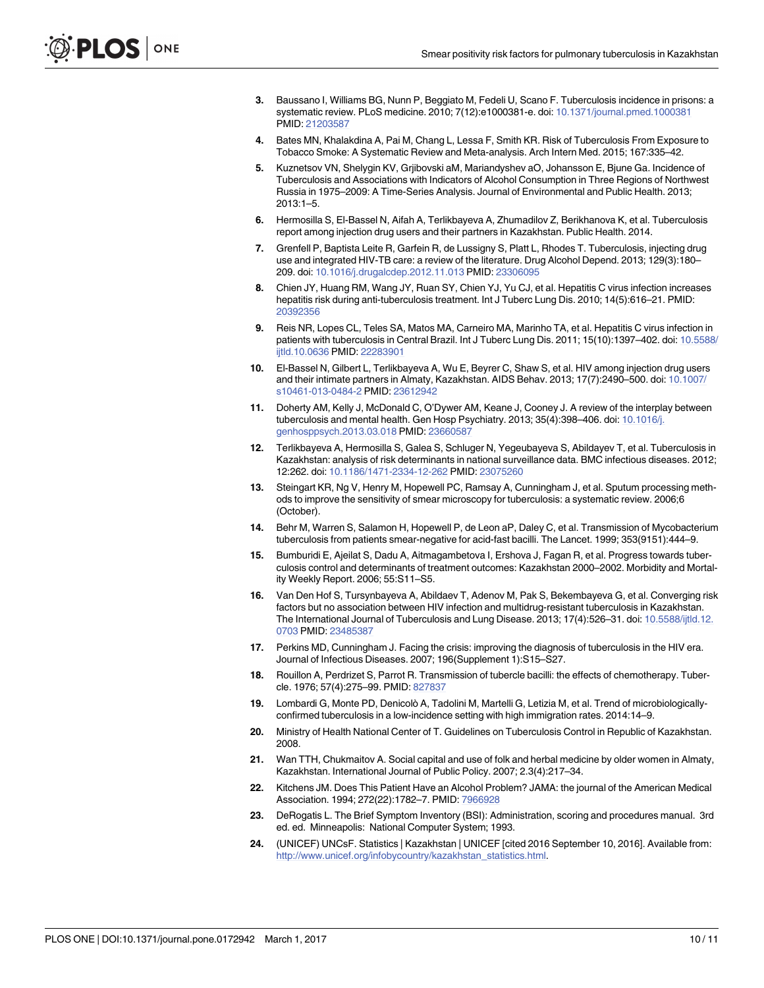- <span id="page-9-0"></span>**[3](#page-1-0).** Baussano I, Williams BG, Nunn P, Beggiato M, Fedeli U, Scano F. Tuberculosis incidence in prisons: a systematic review. PLoS medicine. 2010; 7(12):e1000381-e. doi: [10.1371/journal.pmed.1000381](http://dx.doi.org/10.1371/journal.pmed.1000381) PMID: [21203587](http://www.ncbi.nlm.nih.gov/pubmed/21203587)
- **[4](#page-1-0).** Bates MN, Khalakdina A, Pai M, Chang L, Lessa F, Smith KR. Risk of Tuberculosis From Exposure to Tobacco Smoke: A Systematic Review and Meta-analysis. Arch Intern Med. 2015; 167:335–42.
- **[5](#page-1-0).** Kuznetsov VN, Shelygin KV, Grjibovski aM, Mariandyshev aO, Johansson E, Bjune Ga. Incidence of Tuberculosis and Associations with Indicators of Alcohol Consumption in Three Regions of Northwest Russia in 1975–2009: A Time-Series Analysis. Journal of Environmental and Public Health. 2013; 2013:1–5.
- **[6](#page-1-0).** Hermosilla S, El-Bassel N, Aifah A, Terlikbayeva A, Zhumadilov Z, Berikhanova K, et al. Tuberculosis report among injection drug users and their partners in Kazakhstan. Public Health. 2014.
- **[7](#page-1-0).** Grenfell P, Baptista Leite R, Garfein R, de Lussigny S, Platt L, Rhodes T. Tuberculosis, injecting drug use and integrated HIV-TB care: a review of the literature. Drug Alcohol Depend. 2013; 129(3):180– 209. doi: [10.1016/j.drugalcdep.2012.11.013](http://dx.doi.org/10.1016/j.drugalcdep.2012.11.013) PMID: [23306095](http://www.ncbi.nlm.nih.gov/pubmed/23306095)
- **[8](#page-1-0).** Chien JY, Huang RM, Wang JY, Ruan SY, Chien YJ, Yu CJ, et al. Hepatitis C virus infection increases hepatitis risk during anti-tuberculosis treatment. Int J Tuberc Lung Dis. 2010; 14(5):616–21. PMID: [20392356](http://www.ncbi.nlm.nih.gov/pubmed/20392356)
- **[9](#page-1-0).** Reis NR, Lopes CL, Teles SA, Matos MA, Carneiro MA, Marinho TA, et al. Hepatitis C virus infection in patients with tuberculosis in Central Brazil. Int J Tuberc Lung Dis. 2011; 15(10):1397–402. doi: [10.5588/](http://dx.doi.org/10.5588/ijtld.10.0636) [ijtld.10.0636](http://dx.doi.org/10.5588/ijtld.10.0636) PMID: [22283901](http://www.ncbi.nlm.nih.gov/pubmed/22283901)
- **[10](#page-1-0).** El-Bassel N, Gilbert L, Terlikbayeva A, Wu E, Beyrer C, Shaw S, et al. HIV among injection drug users and their intimate partners in Almaty, Kazakhstan. AIDS Behav. 2013; 17(7):2490–500. doi: [10.1007/](http://dx.doi.org/10.1007/s10461-013-0484-2) [s10461-013-0484-2](http://dx.doi.org/10.1007/s10461-013-0484-2) PMID: [23612942](http://www.ncbi.nlm.nih.gov/pubmed/23612942)
- **[11](#page-1-0).** Doherty AM, Kelly J, McDonald C, O'Dywer AM, Keane J, Cooney J. A review of the interplay between tuberculosis and mental health. Gen Hosp Psychiatry. 2013; 35(4):398–406. doi: [10.1016/j.](http://dx.doi.org/10.1016/j.genhosppsych.2013.03.018) [genhosppsych.2013.03.018](http://dx.doi.org/10.1016/j.genhosppsych.2013.03.018) PMID: [23660587](http://www.ncbi.nlm.nih.gov/pubmed/23660587)
- **[12](#page-1-0).** Terlikbayeva A, Hermosilla S, Galea S, Schluger N, Yegeubayeva S, Abildayev T, et al. Tuberculosis in Kazakhstan: analysis of risk determinants in national surveillance data. BMC infectious diseases. 2012; 12:262. doi: [10.1186/1471-2334-12-262](http://dx.doi.org/10.1186/1471-2334-12-262) PMID: [23075260](http://www.ncbi.nlm.nih.gov/pubmed/23075260)
- **[13](#page-1-0).** Steingart KR, Ng V, Henry M, Hopewell PC, Ramsay A, Cunningham J, et al. Sputum processing methods to improve the sensitivity of smear microscopy for tuberculosis: a systematic review. 2006;6 (October).
- **[14](#page-1-0).** Behr M, Warren S, Salamon H, Hopewell P, de Leon aP, Daley C, et al. Transmission of Mycobacterium tuberculosis from patients smear-negative for acid-fast bacilli. The Lancet. 1999; 353(9151):444–9.
- **[15](#page-1-0).** Bumburidi E, Ajeilat S, Dadu A, Aitmagambetova I, Ershova J, Fagan R, et al. Progress towards tuberculosis control and determinants of treatment outcomes: Kazakhstan 2000–2002. Morbidity and Mortality Weekly Report. 2006; 55:S11–S5.
- **[16](#page-1-0).** Van Den Hof S, Tursynbayeva A, Abildaev T, Adenov M, Pak S, Bekembayeva G, et al. Converging risk factors but no association between HIV infection and multidrug-resistant tuberculosis in Kazakhstan. The International Journal of Tuberculosis and Lung Disease. 2013; 17(4):526–31. doi: [10.5588/ijtld.12.](http://dx.doi.org/10.5588/ijtld.12.0703) [0703](http://dx.doi.org/10.5588/ijtld.12.0703) PMID: [23485387](http://www.ncbi.nlm.nih.gov/pubmed/23485387)
- **[17](#page-1-0).** Perkins MD, Cunningham J. Facing the crisis: improving the diagnosis of tuberculosis in the HIV era. Journal of Infectious Diseases. 2007; 196(Supplement 1):S15–S27.
- **[18](#page-1-0).** Rouillon A, Perdrizet S, Parrot R. Transmission of tubercle bacilli: the effects of chemotherapy. Tubercle. 1976; 57(4):275–99. PMID: [827837](http://www.ncbi.nlm.nih.gov/pubmed/827837)
- **[19](#page-1-0).** Lombardi G, Monte PD, Denicolò A, Tadolini M, Martelli G, Letizia M, et al. Trend of microbiologicallyconfirmed tuberculosis in a low-incidence setting with high immigration rates. 2014:14–9.
- **[20](#page-2-0).** Ministry of Health National Center of T. Guidelines on Tuberculosis Control in Republic of Kazakhstan. 2008.
- **[21](#page-2-0).** Wan TTH, Chukmaitov A. Social capital and use of folk and herbal medicine by older women in Almaty, Kazakhstan. International Journal of Public Policy. 2007; 2.3(4):217–34.
- **[22](#page-2-0).** Kitchens JM. Does This Patient Have an Alcohol Problem? JAMA: the journal of the American Medical Association. 1994; 272(22):1782–7. PMID: [7966928](http://www.ncbi.nlm.nih.gov/pubmed/7966928)
- **[23](#page-2-0).** DeRogatis L. The Brief Symptom Inventory (BSI): Administration, scoring and procedures manual. 3rd ed. ed. Minneapolis: National Computer System; 1993.
- **[24](#page-3-0).** (UNICEF) UNCsF. Statistics | Kazakhstan | UNICEF [cited 2016 September 10, 2016]. Available from: [http://www.unicef.org/infobycountry/kazakhstan\\_statistics.html.](http://www.unicef.org/infobycountry/kazakhstan_statistics.html)